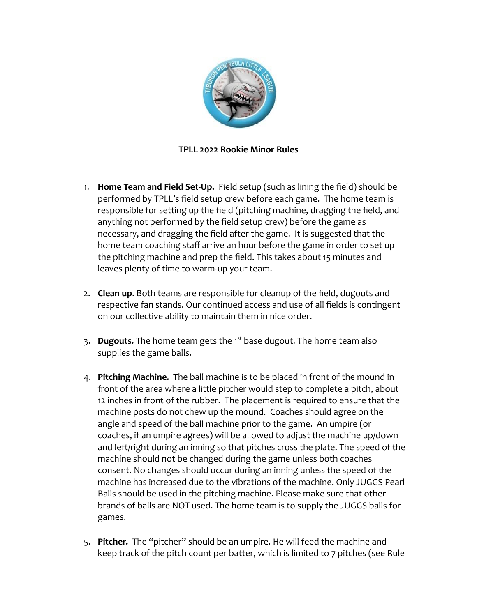

## **TPLL 2022 Rookie Minor Rules**

- 1. **Home Team and Field Set-Up.** Field setup (such as lining the field) should be performed by TPLL's field setup crew before each game. The home team is responsible for setting up the field (pitching machine, dragging the field, and anything not performed by the field setup crew) before the game as necessary, and dragging the field after the game. It is suggested that the home team coaching staff arrive an hour before the game in order to set up the pitching machine and prep the field. This takes about 15 minutes and leaves plenty of time to warm-up your team.
- 2. **Clean up**. Both teams are responsible for cleanup of the field, dugouts and respective fan stands. Our continued access and use of all fields is contingent on our collective ability to maintain them in nice order.
- 3. **Dugouts.** The home team gets the 1<sup>st</sup> base dugout. The home team also supplies the game balls.
- 4. **Pitching Machine.** The ball machine is to be placed in front of the mound in front of the area where a little pitcher would step to complete a pitch, about 12 inches in front of the rubber. The placement is required to ensure that the machine posts do not chew up the mound. Coaches should agree on the angle and speed of the ball machine prior to the game. An umpire (or coaches, if an umpire agrees) will be allowed to adjust the machine up/down and left/right during an inning so that pitches cross the plate. The speed of the machine should not be changed during the game unless both coaches consent. No changes should occur during an inning unless the speed of the machine has increased due to the vibrations of the machine. Only JUGGS Pearl Balls should be used in the pitching machine. Please make sure that other brands of balls are NOT used. The home team is to supply the JUGGS balls for games.
- 5. **Pitcher.** The "pitcher" should be an umpire. He will feed the machine and keep track of the pitch count per batter, which is limited to 7 pitches (see Rule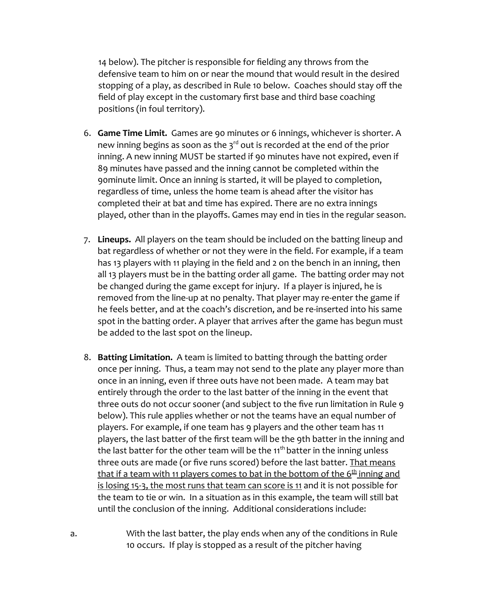14 below). The pitcher is responsible for fielding any throws from the defensive team to him on or near the mound that would result in the desired stopping of a play, as described in Rule 10 below. Coaches should stay off the field of play except in the customary first base and third base coaching positions (in foul territory).

- 6. **Game Time Limit.** Games are 90 minutes or 6 innings, whichever is shorter. A new inning begins as soon as the  $3^{rd}$  out is recorded at the end of the prior inning. A new inning MUST be started if 90 minutes have not expired, even if 89 minutes have passed and the inning cannot be completed within the 90minute limit. Once an inning is started, it will be played to completion, regardless of time, unless the home team is ahead after the visitor has completed their at bat and time has expired. There are no extra innings played, other than in the playoffs. Games may end in ties in the regular season.
- 7. **Lineups.** All players on the team should be included on the batting lineup and bat regardless of whether or not they were in the field. For example, if a team has 13 players with 11 playing in the field and 2 on the bench in an inning, then all 13 players must be in the batting order all game. The batting order may not be changed during the game except for injury. If a player is injured, he is removed from the line-up at no penalty. That player may re-enter the game if he feels better, and at the coach's discretion, and be re-inserted into his same spot in the batting order. A player that arrives after the game has begun must be added to the last spot on the lineup.
- 8. **Batting Limitation.** A team is limited to batting through the batting order once per inning. Thus, a team may not send to the plate any player more than once in an inning, even if three outs have not been made. A team may bat entirely through the order to the last batter of the inning in the event that three outs do not occur sooner (and subject to the five run limitation in Rule 9 below). This rule applies whether or not the teams have an equal number of players. For example, if one team has 9 players and the other team has 11 players, the last batter of the first team will be the 9th batter in the inning and the last batter for the other team will be the  $11<sup>th</sup>$  batter in the inning unless three outs are made (or five runs scored) before the last batter. That means that if a team with 11 players comes to bat in the bottom of the 6<sup>th</sup> inning and is losing 15-3, the most runs that team can score is 11 and it is not possible for the team to tie or win. In a situation as in this example, the team will still bat until the conclusion of the inning. Additional considerations include:
- a. With the last batter, the play ends when any of the conditions in Rule 10 occurs. If play is stopped as a result of the pitcher having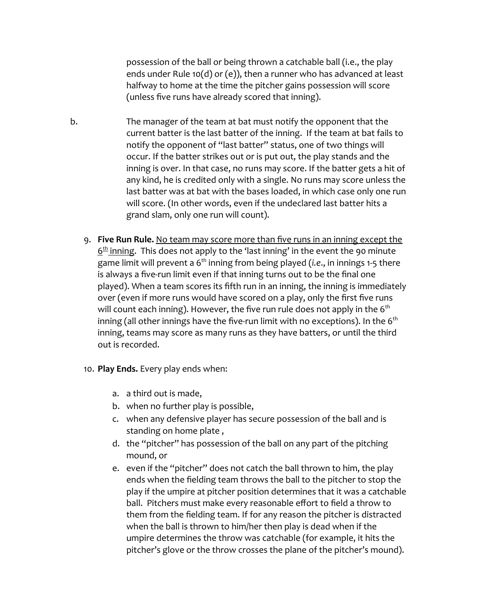possession of the ball or being thrown a catchable ball (i.e., the play ends under Rule 10(d) or (e)), then a runner who has advanced at least halfway to home at the time the pitcher gains possession will score (unless five runs have already scored that inning).

- b. The manager of the team at bat must notify the opponent that the current batter is the last batter of the inning. If the team at bat fails to notify the opponent of "last batter" status, one of two things will occur. If the batter strikes out or is put out, the play stands and the inning is over. In that case, no runs may score. If the batter gets a hit of any kind, he is credited only with a single. No runs may score unless the last batter was at bat with the bases loaded, in which case only one run will score. (In other words, even if the undeclared last batter hits a grand slam, only one run will count).
	- 9. **Five Run Rule.** No team may score more than five runs in an inning except the  $6<sup>th</sup>$  inning. This does not apply to the 'last inning' in the event the 90 minute game limit will prevent a 6<sup>th</sup> inning from being played (*i.e.*, in innings 1-5 there is always a five-run limit even if that inning turns out to be the final one played). When a team scores its fifth run in an inning, the inning is immediately over (even if more runs would have scored on a play, only the first five runs will count each inning). However, the five run rule does not apply in the  $6<sup>th</sup>$ inning (all other innings have the five-run limit with no exceptions). In the  $6<sup>th</sup>$ inning, teams may score as many runs as they have batters, or until the third out is recorded.
	- 10. **Play Ends.** Every play ends when:
		- a. a third out is made,
		- b. when no further play is possible,
		- c. when any defensive player has secure possession of the ball and is standing on home plate ,
		- d. the "pitcher" has possession of the ball on any part of the pitching mound, or
		- e. even if the "pitcher" does not catch the ball thrown to him, the play ends when the fielding team throws the ball to the pitcher to stop the play if the umpire at pitcher position determines that it was a catchable ball. Pitchers must make every reasonable effort to field a throw to them from the fielding team. If for any reason the pitcher is distracted when the ball is thrown to him/her then play is dead when if the umpire determines the throw was catchable (for example, it hits the pitcher's glove or the throw crosses the plane of the pitcher's mound).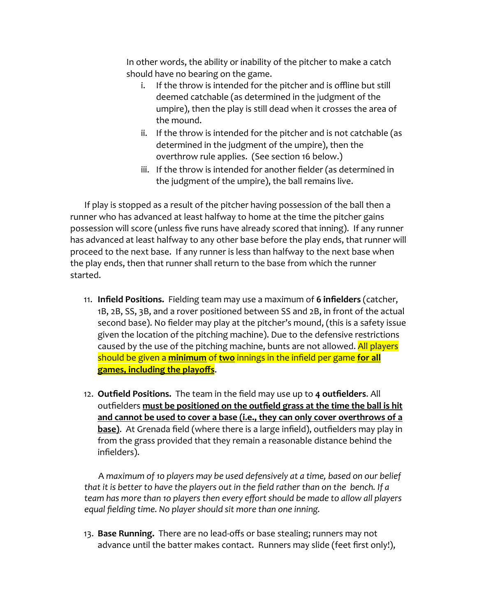In other words, the ability or inability of the pitcher to make a catch should have no bearing on the game.

- i. If the throw is intended for the pitcher and is offline but still deemed catchable (as determined in the judgment of the umpire), then the play is still dead when it crosses the area of the mound.
- ii. If the throw is intended for the pitcher and is not catchable (as determined in the judgment of the umpire), then the overthrow rule applies. (See section 16 below.)
- iii. If the throw is intended for another fielder (as determined in the judgment of the umpire), the ball remains live.

If play is stopped as a result of the pitcher having possession of the ball then a runner who has advanced at least halfway to home at the time the pitcher gains possession will score (unless five runs have already scored that inning). If any runner has advanced at least halfway to any other base before the play ends, that runner will proceed to the next base. If any runner is less than halfway to the next base when the play ends, then that runner shall return to the base from which the runner started.

- 11. **Infield Positions.** Fielding team may use a maximum of **6 infielders** (catcher, 1B, 2B, SS, 3B, and a rover positioned between SS and 2B, in front of the actual second base). No fielder may play at the pitcher's mound, (this is a safety issue given the location of the pitching machine). Due to the defensive restrictions caused by the use of the pitching machine, bunts are not allowed. All players should be given a **minimum** of **two** innings in the infield per game **for all games, including the playoffs**.
- 12. **Outfield Positions.** The team in the field may use up to **4 outfielders**. All outfielders **must be positioned on the outfield grass at the time the ball is hit and cannot be used to cover a base (i.e., they can only cover overthrows of a base)**. At Grenada field (where there is a large infield), outfielders may play in from the grass provided that they remain a reasonable distance behind the infielders).

A *maximum of 1o players may be used defensively at a time, based on our belief that it is better to have the players out in the field rather than on the bench. If a team has more than 1o players then every effort should be made to allow all players equal fielding time. No player should sit more than one inning.*

13. **Base Running.** There are no lead-offs or base stealing; runners may not advance until the batter makes contact. Runners may slide (feet first only!),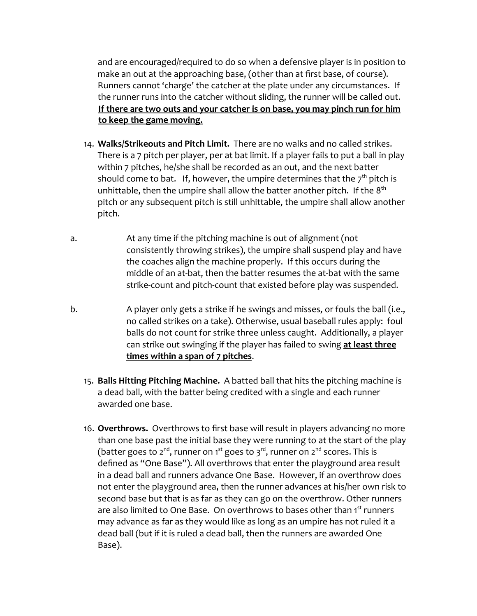and are encouraged/required to do so when a defensive player is in position to make an out at the approaching base, (other than at first base, of course). Runners cannot 'charge' the catcher at the plate under any circumstances. If the runner runs into the catcher without sliding, the runner will be called out. **If there are two outs and your catcher is on base, you may pinch run for him to keep the game moving.**

- 14. **Walks/Strikeouts and Pitch Limit.** There are no walks and no called strikes. There is a 7 pitch per player, per at bat limit. If a player fails to put a ball in play within 7 pitches, he/she shall be recorded as an out, and the next batter should come to bat. If, however, the umpire determines that the  $7<sup>th</sup>$  pitch is unhittable, then the umpire shall allow the batter another pitch. If the  $8<sup>th</sup>$ pitch or any subsequent pitch is still unhittable, the umpire shall allow another pitch.
- a. At any time if the pitching machine is out of alignment (not consistently throwing strikes), the umpire shall suspend play and have the coaches align the machine properly. If this occurs during the middle of an at-bat, then the batter resumes the at-bat with the same strike-count and pitch-count that existed before play was suspended.
- b. A player only gets a strike if he swings and misses, or fouls the ball (i.e., no called strikes on a take). Otherwise, usual baseball rules apply: foul balls do not count for strike three unless caught. Additionally, a player can strike out swinging if the player has failed to swing **at least three times within a span of 7 pitches**.
	- 15. **Balls Hitting Pitching Machine.** A batted ball that hits the pitching machine is a dead ball, with the batter being credited with a single and each runner awarded one base.
	- 16. **Overthrows.** Overthrows to first base will result in players advancing no more than one base past the initial base they were running to at the start of the play (batter goes to 2<sup>nd</sup>, runner on 1<sup>st</sup> goes to 3<sup>rd</sup>, runner on 2<sup>nd</sup> scores. This is defined as "One Base"). All overthrows that enter the playground area result in a dead ball and runners advance One Base. However, if an overthrow does not enter the playground area, then the runner advances at his/her own risk to second base but that is as far as they can go on the overthrow. Other runners are also limited to One Base. On overthrows to bases other than 1st runners may advance as far as they would like as long as an umpire has not ruled it a dead ball (but if it is ruled a dead ball, then the runners are awarded One Base).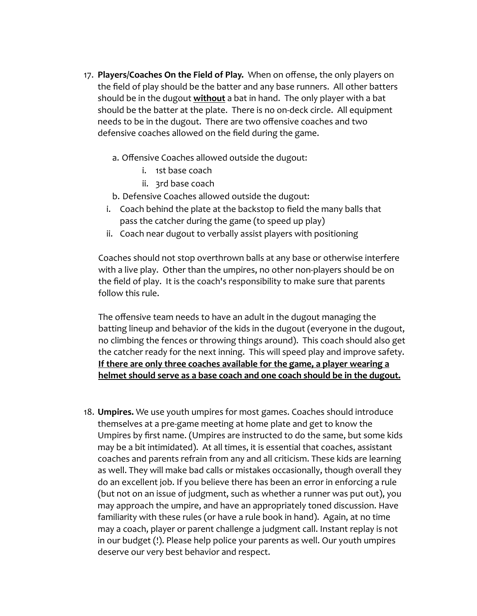- 17. **Players/Coaches On the Field of Play.** When on offense, the only players on the field of play should be the batter and any base runners. All other batters should be in the dugout **without** a bat in hand. The only player with a bat should be the batter at the plate. There is no on-deck circle. All equipment needs to be in the dugout. There are two offensive coaches and two defensive coaches allowed on the field during the game.
	- a. Offensive Coaches allowed outside the dugout:
		- i. 1st base coach
		- ii. 3rd base coach
	- b. Defensive Coaches allowed outside the dugout:
	- i. Coach behind the plate at the backstop to field the many balls that pass the catcher during the game (to speed up play)
	- ii. Coach near dugout to verbally assist players with positioning

Coaches should not stop overthrown balls at any base or otherwise interfere with a live play. Other than the umpires, no other non-players should be on the field of play. It is the coach's responsibility to make sure that parents follow this rule.

The offensive team needs to have an adult in the dugout managing the batting lineup and behavior of the kids in the dugout (everyone in the dugout, no climbing the fences or throwing things around). This coach should also get the catcher ready for the next inning. This will speed play and improve safety. **If there are only three coaches available for the game, a player wearing a helmet should serve as a base coach and one coach should be in the dugout.**

18. **Umpires.** We use youth umpires for most games. Coaches should introduce themselves at a pre-game meeting at home plate and get to know the Umpires by first name. (Umpires are instructed to do the same, but some kids may be a bit intimidated). At all times, it is essential that coaches, assistant coaches and parents refrain from any and all criticism. These kids are learning as well. They will make bad calls or mistakes occasionally, though overall they do an excellent job. If you believe there has been an error in enforcing a rule (but not on an issue of judgment, such as whether a runner was put out), you may approach the umpire, and have an appropriately toned discussion. Have familiarity with these rules (or have a rule book in hand). Again, at no time may a coach, player or parent challenge a judgment call. Instant replay is not in our budget (!). Please help police your parents as well. Our youth umpires deserve our very best behavior and respect.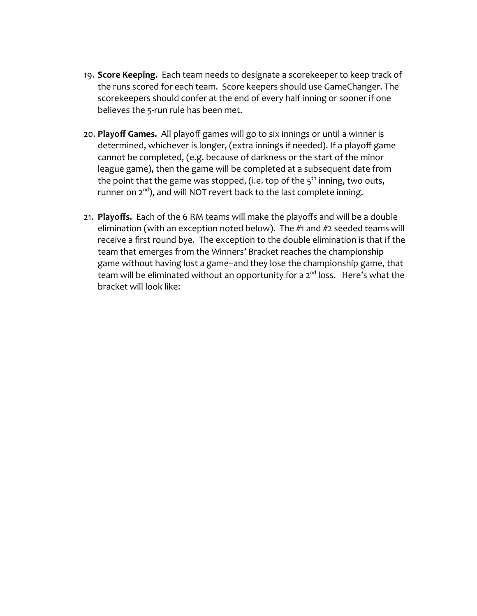- 19. **Score Keeping.** Each team needs to designate a scorekeeper to keep track of the runs scored for each team. Score keepers should use GameChanger. The scorekeepers should confer at the end of every half inning or sooner if one believes the 5-run rule has been met.
- 20. **Playoff Games.** All playoff games will go to six innings or until a winner is determined, whichever is longer, (extra innings if needed). If a playoff game cannot be completed, (e.g. because of darkness or the start of the minor league game), then the game will be completed at a subsequent date from the point that the game was stopped, (i.e. top of the  $5<sup>th</sup>$  inning, two outs, runner on 2<sup>nd</sup>), and will NOT revert back to the last complete inning.
- 21. **Playoffs.** Each of the 6 RM teams will make the playoffs and will be a double elimination (with an exception noted below). The #1 and #2 seeded teams will receive a first round bye. The exception to the double elimination is that if the team that emerges from the Winners' Bracket reaches the championship game without having lost a game--and they lose the championship game, that team will be eliminated without an opportunity for a 2<sup>nd</sup> loss. Here's what the bracket will look like: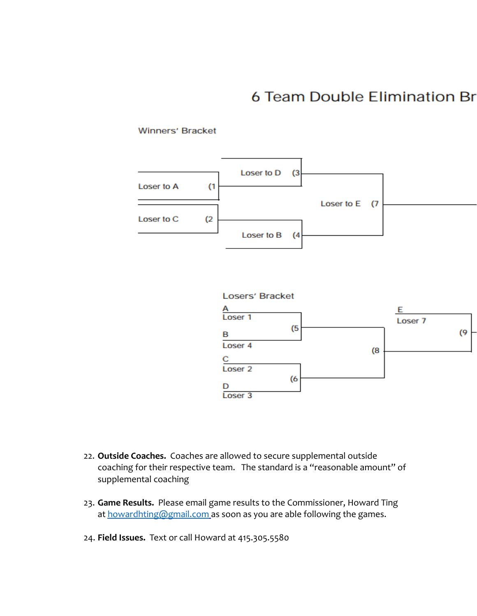## **6 Team Double Elimination Br**

## Winners' Bracket





- 22. **Outside Coaches.** Coaches are allowed to secure supplemental outside coaching for their respective team. The standard is a "reasonable amount" of supplemental coaching
- 23. **Game Results.** Please email game results to the Commissioner, Howard Ting at [howardhting@gmail.com](mailto:howardhting@gmail.com) as soon as you are able following the games.
- 24. **Field Issues.** Text or call Howard at 415.305.5580